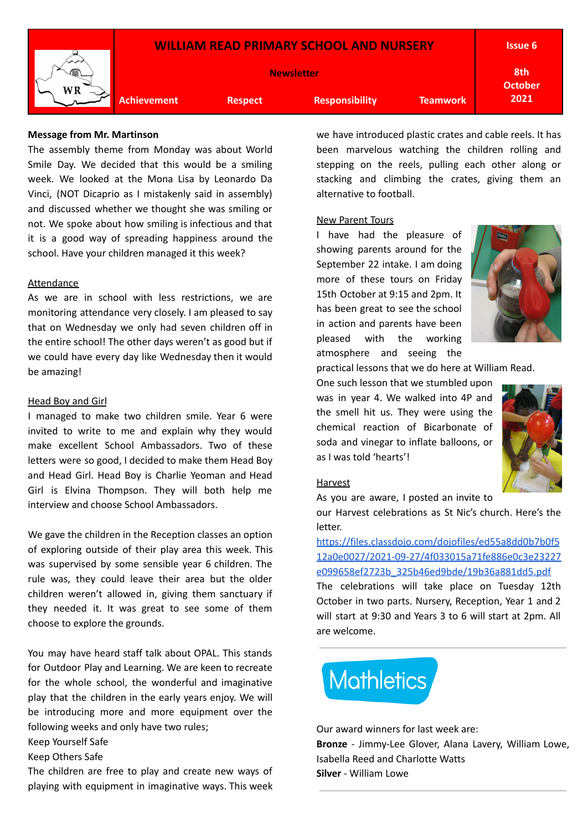

### **Message from Mr. Martinson**

The assembly theme from Monday was about World Smile Day. We decided that this would be a smiling week. We looked at the Mona Lisa by Leonardo Da Vinci, (NOT Dicaprio as I mistakenly said in assembly) and discussed whether we thought she was smiling or not. We spoke about how smiling is infectious and that it is a good way of spreading happiness around the school. Have your children managed it this week?

### Attendance

As we are in school with less restrictions, we are monitoring attendance very closely. I am pleased to say that on Wednesday we only had seven children off in the entire school! The other days weren't as good but if we could have every day like Wednesday then it would be amazing!

### Head Boy and Girl

I managed to make two children smile. Year 6 were invited to write to me and explain why they would make excellent School Ambassadors. Two of these letters were so good, I decided to make them Head Boy and Head Girl. Head Boy is Charlie Yeoman and Head Girl is Elvina Thompson. They will both help me interview and choose School Ambassadors.

We gave the children in the Reception classes an option of exploring outside of their play area this week. This was supervised by some sensible year 6 children. The rule was, they could leave their area but the older children weren't allowed in, giving them sanctuary if they needed it. It was great to see some of them choose to explore the grounds.

You may have heard staff talk about OPAL. This stands for Outdoor Play and Learning. We are keen to recreate for the whole school, the wonderful and imaginative play that the children in the early years enjoy. We will be introducing more and more equipment over the following weeks and only have two rules;

Keep Yourself Safe

Keep Others Safe

The children are free to play and create new ways of playing with equipment in imaginative ways. This week we have introduced plastic crates and cable reels. It has been marvelous watching the children rolling and stepping on the reels, pulling each other along or stacking and climbing the crates, giving them an alternative to football.

New Parent Tours

I have had the pleasure of showing parents around for the September 22 intake. I am doing more of these tours on Friday 15th October at 9:15 and 2pm. It has been great to see the school in action and parents have been pleased with the working atmosphere and seeing the



practical lessons that we do here at William Read.

One such lesson that we stumbled upon was in year 4. We walked into 4P and the smell hit us. They were using the chemical reaction of Bicarbonate of soda and vinegar to inflate balloons, or as I was told 'hearts'!



#### Harvest

As you are aware, I posted an invite to

our Harvest celebrations as St Nic's church. Here's the letter.

[https://files.classdojo.com/dojofiles/ed55a8dd0b7b0f5](https://files.classdojo.com/dojofiles/ed55a8dd0b7b0f512a0e0027/2021-09-27/4f033015a71fe886e0c3e23227e099658ef2723b_325b46ed9bde/19b36a881dd5.pdf) [12a0e0027/2021-09-27/4f033015a71fe886e0c3e23227](https://files.classdojo.com/dojofiles/ed55a8dd0b7b0f512a0e0027/2021-09-27/4f033015a71fe886e0c3e23227e099658ef2723b_325b46ed9bde/19b36a881dd5.pdf) [e099658ef2723b\\_325b46ed9bde/19b36a881dd5.pdf](https://files.classdojo.com/dojofiles/ed55a8dd0b7b0f512a0e0027/2021-09-27/4f033015a71fe886e0c3e23227e099658ef2723b_325b46ed9bde/19b36a881dd5.pdf)

The celebrations will take place on Tuesday 12th October in two parts. Nursery, Reception, Year 1 and 2 will start at 9:30 and Years 3 to 6 will start at 2pm. All are welcome.

# **Mathletics**

Our award winners for last week are: **Bronze** - Jimmy-Lee Glover, Alana Lavery, William Lowe, Isabella Reed and Charlotte Watts **Silver** - William Lowe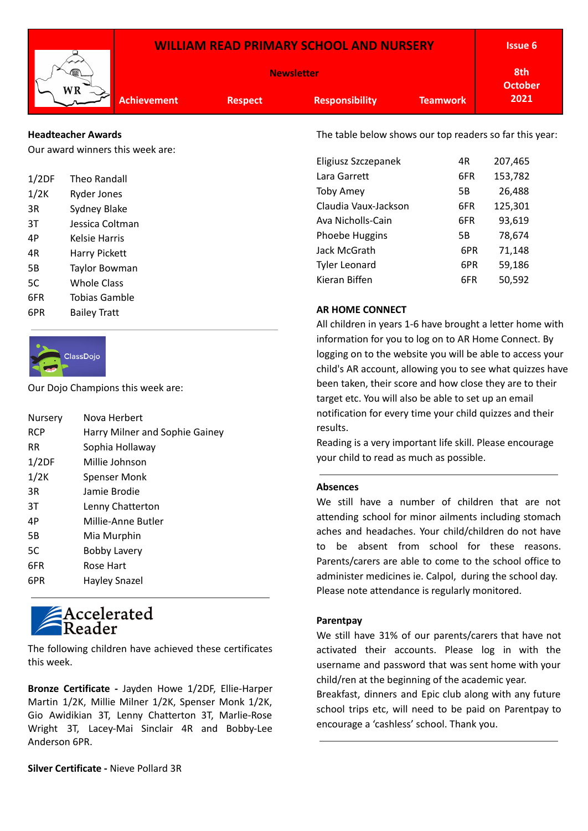| <b>WILLIAM READ PRIMARY SCHOOL AND NURSERY</b> |                    |                       |                       |                 |      |
|------------------------------------------------|--------------------|-----------------------|-----------------------|-----------------|------|
| WR                                             |                    | 8th<br><b>October</b> |                       |                 |      |
|                                                | <b>Achievement</b> | <b>Respect</b>        | <b>Responsibility</b> | <b>Teamwork</b> | 2021 |
|                                                |                    |                       |                       |                 |      |

## **Headteacher Awards**

Our award winners this week are:

| 1/2DF          | Theo Randall         |  |
|----------------|----------------------|--|
| 1/2K           | <b>Ryder Jones</b>   |  |
| 3R             | Sydney Blake         |  |
| 3T             | Jessica Coltman      |  |
| 4Р             | Kelsie Harris        |  |
| 4R             | <b>Harry Pickett</b> |  |
| 5 <sub>B</sub> | <b>Taylor Bowman</b> |  |
| 5C             | <b>Whole Class</b>   |  |
| 6FR            | Tobias Gamble        |  |
| 6PR            | <b>Bailey Tratt</b>  |  |



Our Dojo Champions this week are:

| Nursery    | Nova Herbert                   |
|------------|--------------------------------|
| <b>RCP</b> | Harry Milner and Sophie Gainey |
| RR.        | Sophia Hollaway                |
| 1/2DF      | Millie Johnson                 |
| 1/2K       | <b>Spenser Monk</b>            |
| 3R         | Jamie Brodie                   |
| 3T         | Lenny Chatterton               |
| 4P         | Millie-Anne Butler             |
| 5B         | Mia Murphin                    |
| 5C         | <b>Bobby Lavery</b>            |
| 6FR        | Rose Hart                      |
| 6PR        | Hayley Snazel                  |
|            |                                |

## Reader

The following children have achieved these certificates this week.

**Bronze Certificate -** Jayden Howe 1/2DF, Ellie-Harper Martin 1/2K, Millie Milner 1/2K, Spenser Monk 1/2K, Gio Awidikian 3T, Lenny Chatterton 3T, Marlie-Rose Wright 3T, Lacey-Mai Sinclair 4R and Bobby-Lee Anderson 6PR.

Toby Amey 5B 26,488

| Claudia Vaux-Jackson | 6FR | 125,301 |
|----------------------|-----|---------|
| Ava Nicholls-Cain    | 6FR | 93,619  |
| Phoebe Huggins       | 5Β  | 78,674  |
| Jack McGrath         | 6PR | 71.148  |
| <b>Tyler Leonard</b> | 6PR | 59,186  |
| Kieran Biffen        | 6FR | 50,592  |

Eligiusz Szczepanek 4R 207,465 Lara Garrett 6FR 153,782

The table below shows our top readers so far this year:

## **AR HOME CONNECT**

All children in years 1-6 have brought a letter home with information for you to log on to AR Home Connect. By logging on to the website you will be able to access your child's AR account, allowing you to see what quizzes have been taken, their score and how close they are to their target etc. You will also be able to set up an email notification for every time your child quizzes and their results.

Reading is a very important life skill. Please encourage your child to read as much as possible.

## **Absences**

We still have a number of children that are not attending school for minor ailments including stomach aches and headaches. Your child/children do not have to be absent from school for these reasons. Parents/carers are able to come to the school office to administer medicines ie. Calpol, during the school day. Please note attendance is regularly monitored.

## **Parentpay**

We still have 31% of our parents/carers that have not activated their accounts. Please log in with the username and password that was sent home with your child/ren at the beginning of the academic year.

Breakfast, dinners and Epic club along with any future school trips etc, will need to be paid on Parentpay to encourage a 'cashless' school. Thank you.

**Silver Certificate -** Nieve Pollard 3R